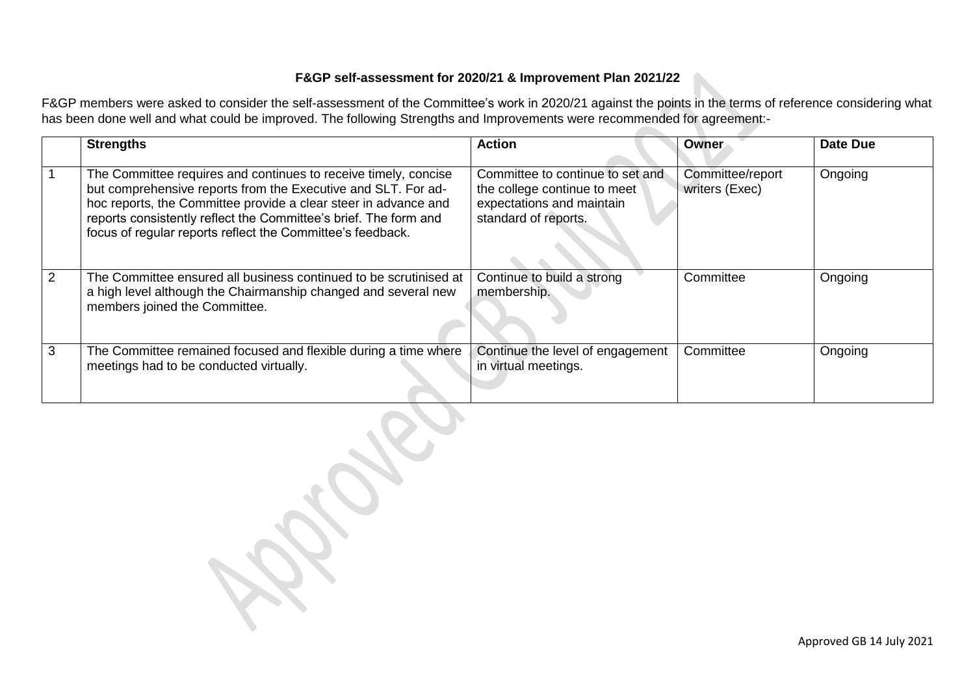## **F&GP self-assessment for 2020/21 & Improvement Plan 2021/22**

F&GP members were asked to consider the self-assessment of the Committee's work in 2020/21 against the points in the terms of reference considering what has been done well and what could be improved. The following Strengths and Improvements were recommended for agreement:-

|   | <b>Strengths</b>                                                                                                                                                                                                                                                                                                                      | <b>Action</b>                                                                                                         | Owner                              | <b>Date Due</b> |
|---|---------------------------------------------------------------------------------------------------------------------------------------------------------------------------------------------------------------------------------------------------------------------------------------------------------------------------------------|-----------------------------------------------------------------------------------------------------------------------|------------------------------------|-----------------|
|   | The Committee requires and continues to receive timely, concise<br>but comprehensive reports from the Executive and SLT. For ad-<br>hoc reports, the Committee provide a clear steer in advance and<br>reports consistently reflect the Committee's brief. The form and<br>focus of regular reports reflect the Committee's feedback. | Committee to continue to set and<br>the college continue to meet<br>expectations and maintain<br>standard of reports. | Committee/report<br>writers (Exec) | Ongoing         |
| 2 | The Committee ensured all business continued to be scrutinised at<br>a high level although the Chairmanship changed and several new<br>members joined the Committee.                                                                                                                                                                  | Continue to build a strong<br>membership.                                                                             | Committee                          | Ongoing         |
| 3 | The Committee remained focused and flexible during a time where<br>meetings had to be conducted virtually.                                                                                                                                                                                                                            | Continue the level of engagement<br>in virtual meetings.                                                              | Committee                          | Ongoing         |